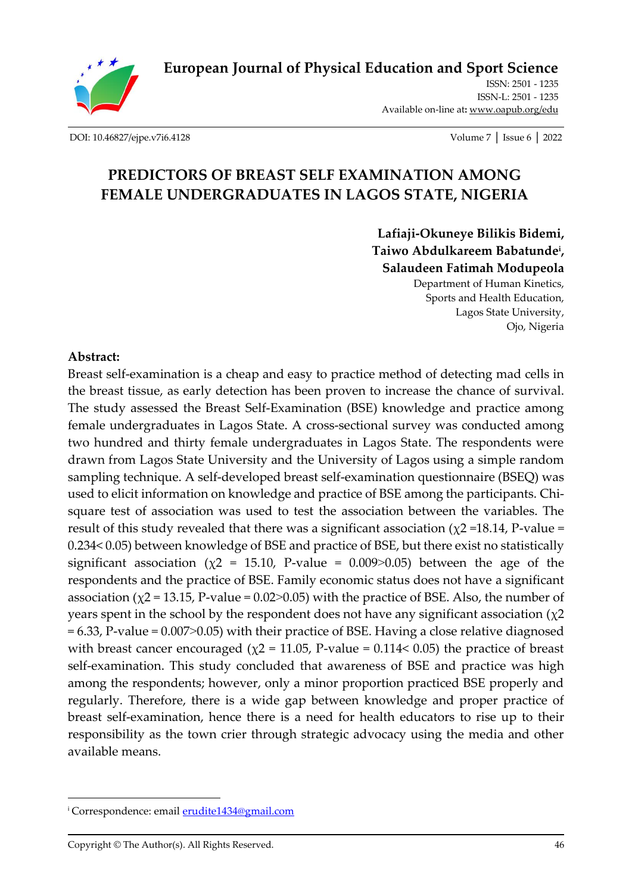

**[European Journal of Physical Education and Sport Science](http://oapub.org/edu/index.php/ejep)**

ISSN: 2501 - 1235 ISSN-L: 2501 - 1235 Available on-line at**:** [www.oapub.org/edu](http://www.oapub.org/edu)

[DOI: 10.46827/ejpe.v7i6.4128](http://dx.doi.org/10.46827/ejpe.v7i6.4128) Volume 7 │ Issue 6 │ 2022

# **PREDICTORS OF BREAST SELF EXAMINATION AMONG FEMALE UNDERGRADUATES IN LAGOS STATE, NIGERIA**

**Lafiaji-Okuneye Bilikis Bidemi, Taiwo Abdulkareem Babatunde<sup>i</sup> , Salaudeen Fatimah Modupeola** Department of Human Kinetics, Sports and Health Education, Lagos State University,

Ojo, Nigeria

#### **Abstract:**

Breast self-examination is a cheap and easy to practice method of detecting mad cells in the breast tissue, as early detection has been proven to increase the chance of survival. The study assessed the Breast Self-Examination (BSE) knowledge and practice among female undergraduates in Lagos State. A cross-sectional survey was conducted among two hundred and thirty female undergraduates in Lagos State. The respondents were drawn from Lagos State University and the University of Lagos using a simple random sampling technique. A self-developed breast self-examination questionnaire (BSEQ) was used to elicit information on knowledge and practice of BSE among the participants. Chisquare test of association was used to test the association between the variables. The result of this study revealed that there was a significant association ( $\chi$ 2=18.14, P-value = 0.234< 0.05) between knowledge of BSE and practice of BSE, but there exist no statistically significant association ( $\chi$ 2 = 15.10, P-value = 0.009 $>$ 0.05) between the age of the respondents and the practice of BSE. Family economic status does not have a significant association ( $\chi$ 2 = 13.15, P-value = 0.02 $>$ 0.05) with the practice of BSE. Also, the number of years spent in the school by the respondent does not have any significant association ( $\chi$ 2 = 6.33, P-value = 0.007˃0.05) with their practice of BSE. Having a close relative diagnosed with breast cancer encouraged ( $\chi$ 2 = 11.05, P-value = 0.114< 0.05) the practice of breast self-examination. This study concluded that awareness of BSE and practice was high among the respondents; however, only a minor proportion practiced BSE properly and regularly. Therefore, there is a wide gap between knowledge and proper practice of breast self-examination, hence there is a need for health educators to rise up to their responsibility as the town crier through strategic advocacy using the media and other available means.

<sup>&</sup>lt;sup>i</sup> Correspondence: email **erudite1434@gmail.com**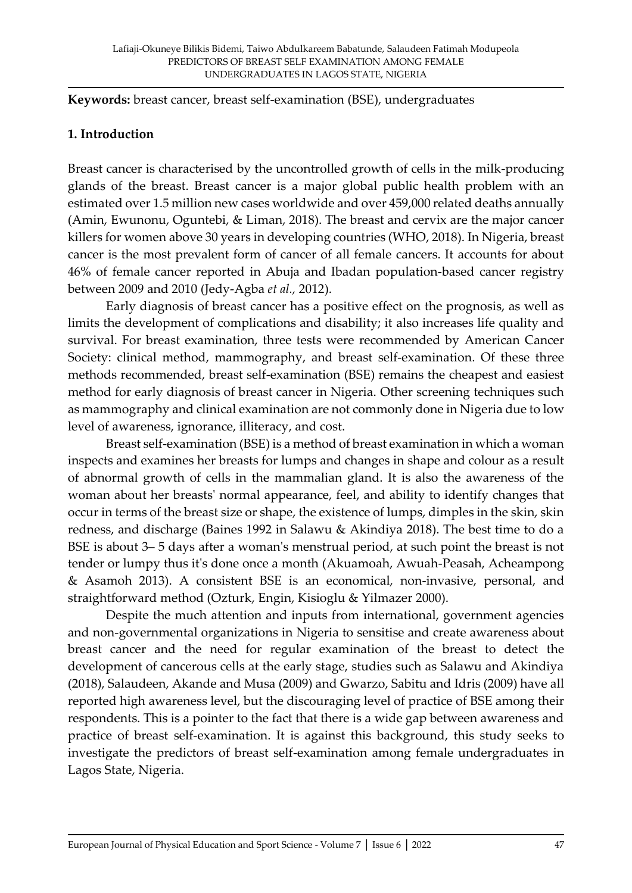**Keywords:** breast cancer, breast self-examination (BSE), undergraduates

#### **1. Introduction**

Breast cancer is characterised by the uncontrolled growth of cells in the milk-producing glands of the breast. Breast cancer is a major global public health problem with an estimated over 1.5 million new cases worldwide and over 459,000 related deaths annually (Amin, Ewunonu, Oguntebi, & Liman, 2018). The breast and cervix are the major cancer killers for women above 30 years in developing countries (WHO, 2018). In Nigeria, breast cancer is the most prevalent form of cancer of all female cancers. It accounts for about 46% of female cancer reported in Abuja and Ibadan population-based cancer registry between 2009 and 2010 (Jedy-Agba *et al.,* 2012).

Early diagnosis of breast cancer has a positive effect on the prognosis, as well as limits the development of complications and disability; it also increases life quality and survival. For breast examination, three tests were recommended by American Cancer Society: clinical method, mammography, and breast self-examination. Of these three methods recommended, breast self-examination (BSE) remains the cheapest and easiest method for early diagnosis of breast cancer in Nigeria. Other screening techniques such as mammography and clinical examination are not commonly done in Nigeria due to low level of awareness, ignorance, illiteracy, and cost.

Breast self-examination (BSE) is a method of breast examination in which a woman inspects and examines her breasts for lumps and changes in shape and colour as a result of abnormal growth of cells in the mammalian gland. It is also the awareness of the woman about her breasts' normal appearance, feel, and ability to identify changes that occur in terms of the breast size or shape, the existence of lumps, dimples in the skin, skin redness, and discharge (Baines 1992 in Salawu & Akindiya 2018). The best time to do a BSE is about 3– 5 days after a woman's menstrual period, at such point the breast is not tender or lumpy thus it's done once a month (Akuamoah, Awuah-Peasah, Acheampong & Asamoh 2013). A consistent BSE is an economical, non-invasive, personal, and straightforward method (Ozturk, Engin, Kisioglu & Yilmazer 2000).

Despite the much attention and inputs from international, government agencies and non-governmental organizations in Nigeria to sensitise and create awareness about breast cancer and the need for regular examination of the breast to detect the development of cancerous cells at the early stage, studies such as Salawu and Akindiya (2018), Salaudeen, Akande and Musa (2009) and Gwarzo, Sabitu and Idris (2009) have all reported high awareness level, but the discouraging level of practice of BSE among their respondents. This is a pointer to the fact that there is a wide gap between awareness and practice of breast self-examination. It is against this background, this study seeks to investigate the predictors of breast self-examination among female undergraduates in Lagos State, Nigeria.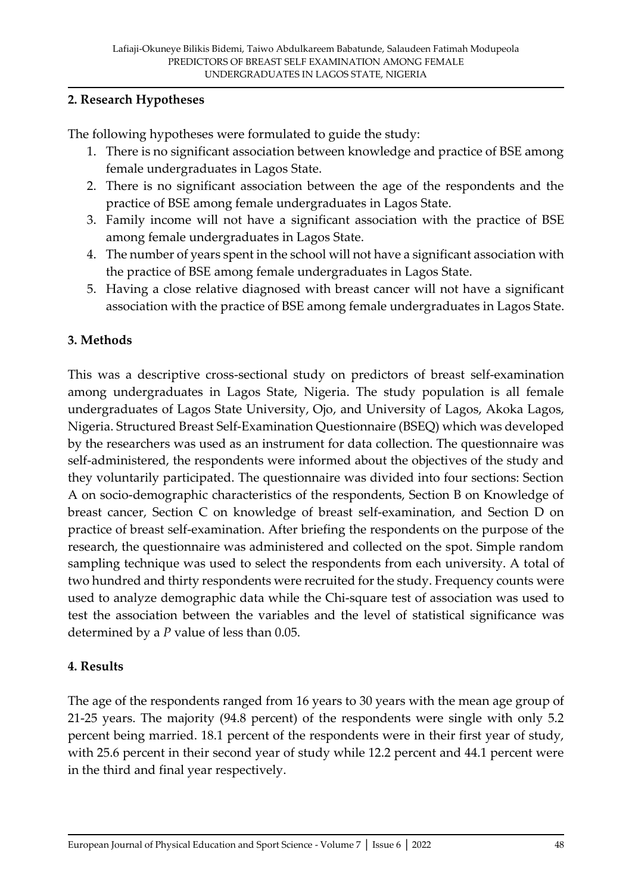### **2. Research Hypotheses**

The following hypotheses were formulated to guide the study:

- 1. There is no significant association between knowledge and practice of BSE among female undergraduates in Lagos State.
- 2. There is no significant association between the age of the respondents and the practice of BSE among female undergraduates in Lagos State.
- 3. Family income will not have a significant association with the practice of BSE among female undergraduates in Lagos State.
- 4. The number of years spent in the school will not have a significant association with the practice of BSE among female undergraduates in Lagos State.
- 5. Having a close relative diagnosed with breast cancer will not have a significant association with the practice of BSE among female undergraduates in Lagos State.

## **3. Methods**

This was a descriptive cross-sectional study on predictors of breast self-examination among undergraduates in Lagos State, Nigeria. The study population is all female undergraduates of Lagos State University, Ojo, and University of Lagos, Akoka Lagos, Nigeria. Structured Breast Self-Examination Questionnaire (BSEQ) which was developed by the researchers was used as an instrument for data collection. The questionnaire was self-administered, the respondents were informed about the objectives of the study and they voluntarily participated. The questionnaire was divided into four sections: Section A on socio-demographic characteristics of the respondents, Section B on Knowledge of breast cancer, Section C on knowledge of breast self-examination, and Section D on practice of breast self-examination. After briefing the respondents on the purpose of the research, the questionnaire was administered and collected on the spot. Simple random sampling technique was used to select the respondents from each university. A total of two hundred and thirty respondents were recruited for the study. Frequency counts were used to analyze demographic data while the Chi-square test of association was used to test the association between the variables and the level of statistical significance was determined by a *P* value of less than 0.05.

## **4. Results**

The age of the respondents ranged from 16 years to 30 years with the mean age group of 21-25 years. The majority (94.8 percent) of the respondents were single with only 5.2 percent being married. 18.1 percent of the respondents were in their first year of study, with 25.6 percent in their second year of study while 12.2 percent and 44.1 percent were in the third and final year respectively.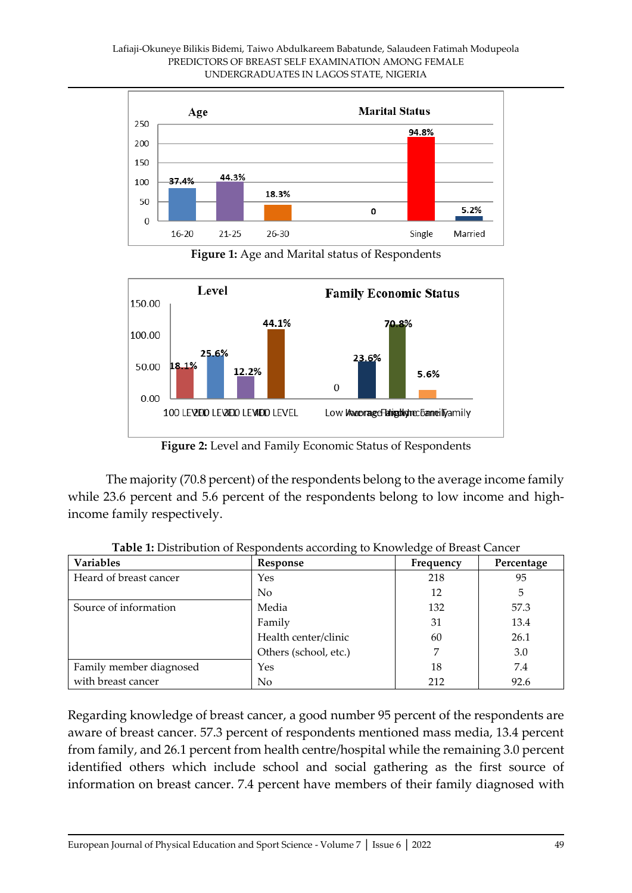

**Figure 1:** Age and Marital status of Respondents



**Figure 2:** Level and Family Economic Status of Respondents

The majority (70.8 percent) of the respondents belong to the average income family while 23.6 percent and 5.6 percent of the respondents belong to low income and highincome family respectively.

| <b>Variables</b>        | ັ<br>Response         | ັ<br>Frequency | Percentage |
|-------------------------|-----------------------|----------------|------------|
| Heard of breast cancer  | Yes                   | 218            | 95         |
|                         | N <sub>0</sub>        | 12             | 5          |
| Source of information   | Media                 | 132            | 57.3       |
|                         | Family                | 31             | 13.4       |
|                         | Health center/clinic  | 60             | 26.1       |
|                         | Others (school, etc.) | 7              | 3.0        |
| Family member diagnosed | Yes                   | 18             | 7.4        |
| with breast cancer      | No                    | 212            | 92.6       |

**Table 1:** Distribution of Respondents according to Knowledge of Breast Cancer

Regarding knowledge of breast cancer, a good number 95 percent of the respondents are aware of breast cancer. 57.3 percent of respondents mentioned mass media, 13.4 percent from family, and 26.1 percent from health centre/hospital while the remaining 3.0 percent identified others which include school and social gathering as the first source of information on breast cancer. 7.4 percent have members of their family diagnosed with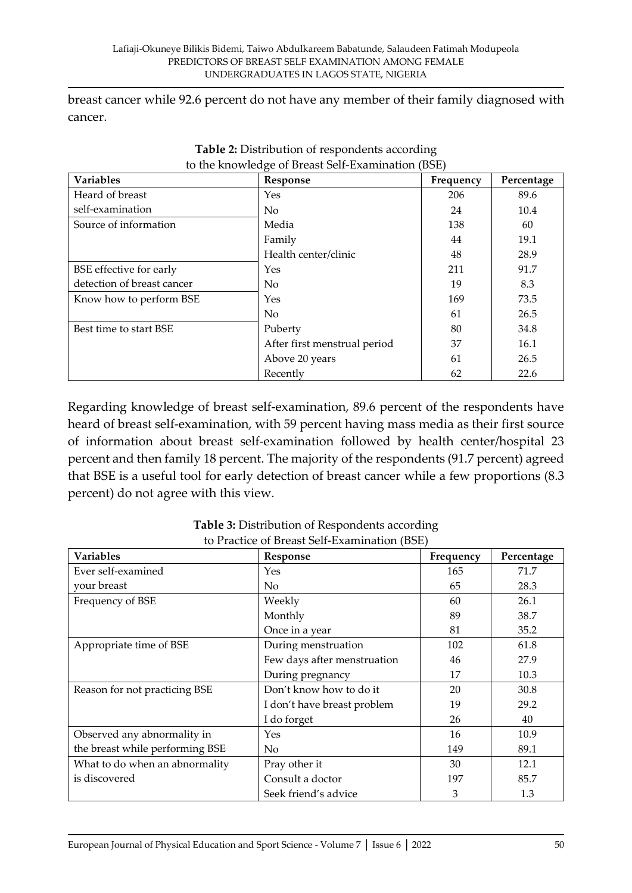breast cancer while 92.6 percent do not have any member of their family diagnosed with cancer.

| <b>Variables</b>           | Response                     | Frequency | Percentage |
|----------------------------|------------------------------|-----------|------------|
| Heard of breast            | Yes                          | 206       | 89.6       |
| self-examination           | N <sub>o</sub>               | 24        | 10.4       |
| Source of information      | Media                        | 138       | 60         |
|                            | Family                       | 44        | 19.1       |
|                            | Health center/clinic         | 48        | 28.9       |
| BSE effective for early    | Yes                          | 211       | 91.7       |
| detection of breast cancer | $\rm No$                     | 19        | 8.3        |
| Know how to perform BSE    | Yes                          | 169       | 73.5       |
|                            | N <sub>o</sub>               | 61        | 26.5       |
| Best time to start BSE     | Puberty                      | 80        | 34.8       |
|                            | After first menstrual period | 37        | 16.1       |
|                            | Above 20 years               | 61        | 26.5       |
|                            | Recently                     | 62        | 22.6       |

| Table 2: Distribution of respondents according    |  |
|---------------------------------------------------|--|
| to the knowledge of Breast Self-Examination (BSE) |  |

Regarding knowledge of breast self-examination, 89.6 percent of the respondents have heard of breast self-examination, with 59 percent having mass media as their first source of information about breast self-examination followed by health center/hospital 23 percent and then family 18 percent. The majority of the respondents (91.7 percent) agreed that BSE is a useful tool for early detection of breast cancer while a few proportions (8.3 percent) do not agree with this view.

| <b>Variables</b>                | Response                    | Frequency | Percentage |
|---------------------------------|-----------------------------|-----------|------------|
| Ever self-examined              | Yes                         | 165       | 71.7       |
| your breast                     | No.                         | 65        | 28.3       |
| Frequency of BSE                | Weekly                      | 60        | 26.1       |
|                                 | Monthly                     | 89        | 38.7       |
|                                 | Once in a year              | 81        | 35.2       |
| Appropriate time of BSE         | During menstruation         | 102       | 61.8       |
|                                 | Few days after menstruation | 46        | 27.9       |
|                                 | During pregnancy            | 17        | 10.3       |
| Reason for not practicing BSE   | Don't know how to do it     | 20        | 30.8       |
|                                 | I don't have breast problem | 19        | 29.2       |
|                                 | I do forget                 | 26        | 40         |
| Observed any abnormality in     | Yes                         | 16        | 10.9       |
| the breast while performing BSE | No                          | 149       | 89.1       |
| What to do when an abnormality  | Pray other it               | 30        | 12.1       |
| is discovered                   | Consult a doctor            | 197       | 85.7       |
|                                 | Seek friend's advice        | 3         | 1.3        |

**Table 3:** Distribution of Respondents according to Practice of Breast Self-Examination (BSE)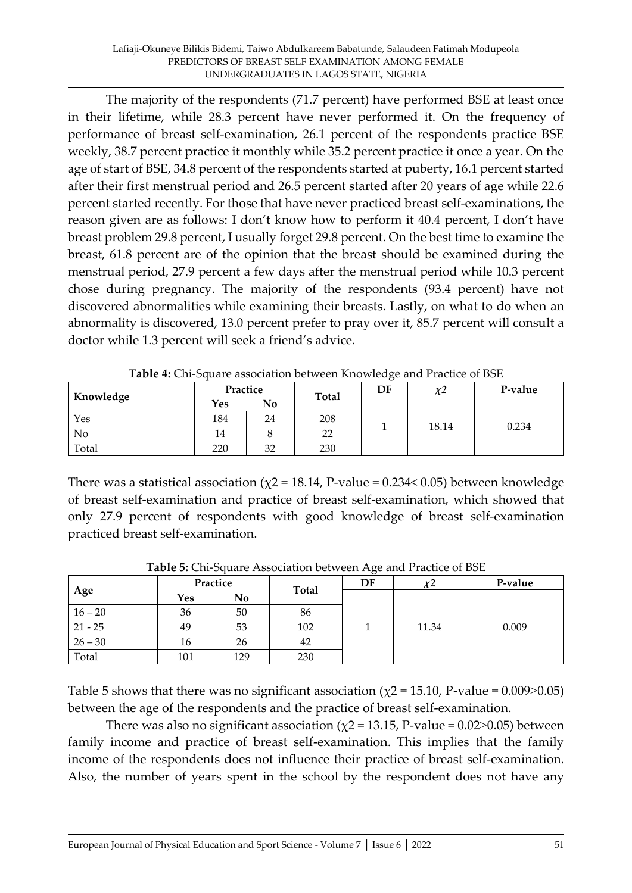The majority of the respondents (71.7 percent) have performed BSE at least once in their lifetime, while 28.3 percent have never performed it. On the frequency of performance of breast self-examination, 26.1 percent of the respondents practice BSE weekly, 38.7 percent practice it monthly while 35.2 percent practice it once a year. On the age of start of BSE, 34.8 percent of the respondents started at puberty, 16.1 percent started after their first menstrual period and 26.5 percent started after 20 years of age while 22.6 percent started recently. For those that have never practiced breast self-examinations, the reason given are as follows: I don't know how to perform it 40.4 percent, I don't have breast problem 29.8 percent, I usually forget 29.8 percent. On the best time to examine the breast, 61.8 percent are of the opinion that the breast should be examined during the menstrual period, 27.9 percent a few days after the menstrual period while 10.3 percent chose during pregnancy. The majority of the respondents (93.4 percent) have not discovered abnormalities while examining their breasts. Lastly, on what to do when an abnormality is discovered, 13.0 percent prefer to pray over it, 85.7 percent will consult a doctor while 1.3 percent will seek a friend's advice.

| Knowledge      | Practice |    |       | DF | χ2    | P-value |
|----------------|----------|----|-------|----|-------|---------|
|                | Yes      | No | Total |    |       |         |
| Yes            | 184      | 24 | 208   |    |       | 0.234   |
| N <sub>o</sub> | 14       |    | 22    |    | 18.14 |         |
| Total          | 220      | 32 | 230   |    |       |         |

| Table 4: Chi-Square association between Knowledge and Practice of BSE |  |  |
|-----------------------------------------------------------------------|--|--|
|                                                                       |  |  |

There was a statistical association ( $\chi$ 2 = 18.14, P-value = 0.234< 0.05) between knowledge of breast self-examination and practice of breast self-examination, which showed that only 27.9 percent of respondents with good knowledge of breast self-examination practiced breast self-examination.

|           | Practice |     |       | $\bm{\omega}$<br>DF | $\chi$ 2 | P-value |  |
|-----------|----------|-----|-------|---------------------|----------|---------|--|
| Age       | Yes      | No  | Total |                     |          |         |  |
| $16 - 20$ | 36       | 50  | 86    |                     |          | 0.009   |  |
| $21 - 25$ | 49       | 53  | 102   |                     | 11.34    |         |  |
| $26 - 30$ | 16       | 26  | 42    |                     |          |         |  |
| Total     | 101      | 129 | 230   |                     |          |         |  |

**Table 5:** Chi-Square Association between Age and Practice of BSE

Table 5 shows that there was no significant association ( $\chi$ 2 = 15.10, P-value = 0.009>0.05) between the age of the respondents and the practice of breast self-examination.

There was also no significant association ( $\chi$ 2 = 13.15, P-value = 0.02>0.05) between family income and practice of breast self-examination. This implies that the family income of the respondents does not influence their practice of breast self-examination. Also, the number of years spent in the school by the respondent does not have any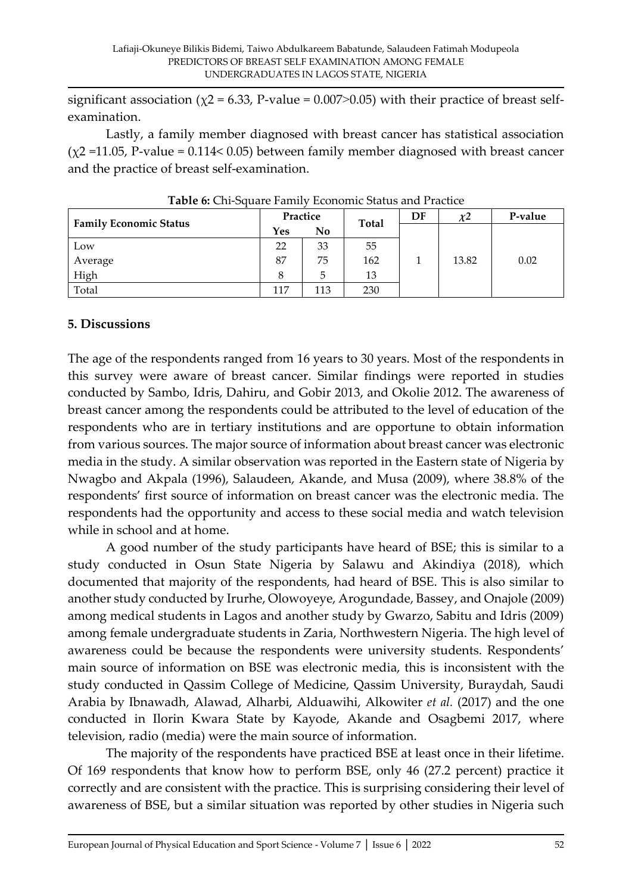significant association ( $\chi$ 2 = 6.33, P-value = 0.007>0.05) with their practice of breast selfexamination.

Lastly, a family member diagnosed with breast cancer has statistical association  $(\chi^2 = 11.05, P-value = 0.114 < 0.05)$  between family member diagnosed with breast cancer and the practice of breast self-examination.

| <b>Family Economic Status</b> | Practice |     | <b>Total</b> | DF | $\chi^2$ | P-value |
|-------------------------------|----------|-----|--------------|----|----------|---------|
|                               | Yes      | No  |              |    |          |         |
| Low                           | 22       | 33  | 55           |    |          |         |
| Average                       | 87       | 75  | 162          |    | 13.82    | 0.02    |
| High                          | 8        | 5   | 13           |    |          |         |
| Total                         | 117      | 113 | 230          |    |          |         |

**Table 6:** Chi-Square Family Economic Status and Practice

#### **5. Discussions**

The age of the respondents ranged from 16 years to 30 years. Most of the respondents in this survey were aware of breast cancer. Similar findings were reported in studies conducted by Sambo, Idris, Dahiru, and Gobir 2013, and Okolie 2012. The awareness of breast cancer among the respondents could be attributed to the level of education of the respondents who are in tertiary institutions and are opportune to obtain information from various sources. The major source of information about breast cancer was electronic media in the study. A similar observation was reported in the Eastern state of Nigeria by Nwagbo and Akpala (1996), Salaudeen, Akande, and Musa (2009), where 38.8% of the respondents' first source of information on breast cancer was the electronic media. The respondents had the opportunity and access to these social media and watch television while in school and at home.

A good number of the study participants have heard of BSE; this is similar to a study conducted in Osun State Nigeria by Salawu and Akindiya (2018), which documented that majority of the respondents, had heard of BSE. This is also similar to another study conducted by Irurhe, Olowoyeye, Arogundade, Bassey, and Onajole (2009) among medical students in Lagos and another study by Gwarzo, Sabitu and Idris (2009) among female undergraduate students in Zaria, Northwestern Nigeria. The high level of awareness could be because the respondents were university students. Respondents' main source of information on BSE was electronic media, this is inconsistent with the study conducted in Qassim College of Medicine, Qassim University, Buraydah, Saudi Arabia by Ibnawadh, Alawad, Alharbi, Alduawihi, Alkowiter *et al.* (2017) and the one conducted in Ilorin Kwara State by Kayode, Akande and Osagbemi 2017, where television, radio (media) were the main source of information.

The majority of the respondents have practiced BSE at least once in their lifetime. Of 169 respondents that know how to perform BSE, only 46 (27.2 percent) practice it correctly and are consistent with the practice. This is surprising considering their level of awareness of BSE, but a similar situation was reported by other studies in Nigeria such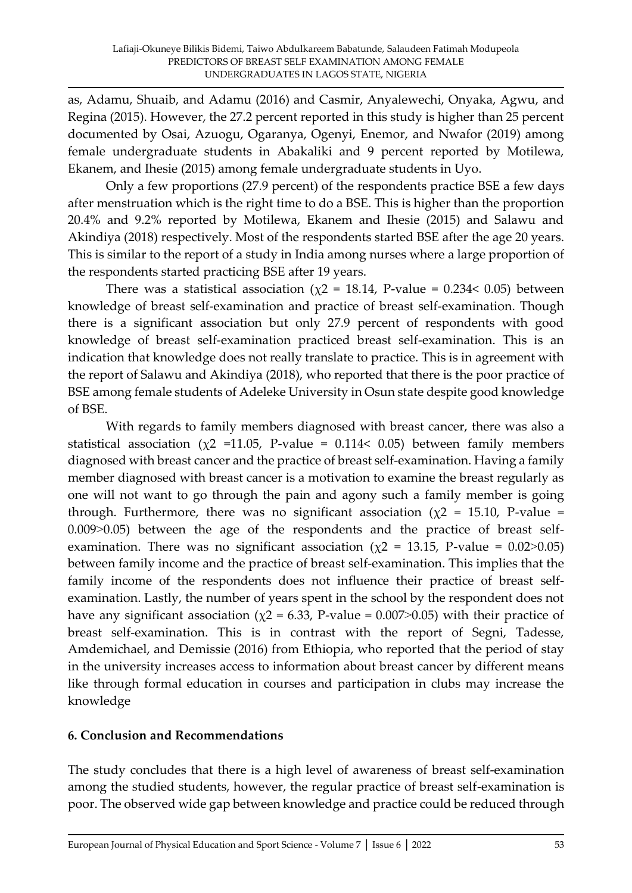as, Adamu, Shuaib, and Adamu (2016) and Casmir, Anyalewechi, Onyaka, Agwu, and Regina (2015). However, the 27.2 percent reported in this study is higher than 25 percent documented by Osai, Azuogu, Ogaranya, Ogenyi, Enemor, and Nwafor (2019) among female undergraduate students in Abakaliki and 9 percent reported by Motilewa, Ekanem, and Ihesie (2015) among female undergraduate students in Uyo.

Only a few proportions (27.9 percent) of the respondents practice BSE a few days after menstruation which is the right time to do a BSE. This is higher than the proportion 20.4% and 9.2% reported by Motilewa, Ekanem and Ihesie (2015) and Salawu and Akindiya (2018) respectively. Most of the respondents started BSE after the age 20 years. This is similar to the report of a study in India among nurses where a large proportion of the respondents started practicing BSE after 19 years.

There was a statistical association ( $\chi$ 2 = 18.14, P-value = 0.234< 0.05) between knowledge of breast self-examination and practice of breast self-examination. Though there is a significant association but only 27.9 percent of respondents with good knowledge of breast self-examination practiced breast self-examination. This is an indication that knowledge does not really translate to practice. This is in agreement with the report of Salawu and Akindiya (2018), who reported that there is the poor practice of BSE among female students of Adeleke University in Osun state despite good knowledge of BSE.

With regards to family members diagnosed with breast cancer, there was also a statistical association ( $\chi$ 2 =11.05, P-value = 0.114< 0.05) between family members diagnosed with breast cancer and the practice of breast self-examination. Having a family member diagnosed with breast cancer is a motivation to examine the breast regularly as one will not want to go through the pain and agony such a family member is going through. Furthermore, there was no significant association ( $\chi$ 2 = 15.10, P-value =  $0.009$  $> 0.05$ ) between the age of the respondents and the practice of breast selfexamination. There was no significant association ( $\chi$ 2 = 13.15, P-value = 0.02>0.05) between family income and the practice of breast self-examination. This implies that the family income of the respondents does not influence their practice of breast selfexamination. Lastly, the number of years spent in the school by the respondent does not have any significant association ( $\chi$ 2 = 6.33, P-value = 0.007>0.05) with their practice of breast self-examination. This is in contrast with the report of Segni, Tadesse, Amdemichael, and Demissie (2016) from Ethiopia, who reported that the period of stay in the university increases access to information about breast cancer by different means like through formal education in courses and participation in clubs may increase the knowledge

#### **6. Conclusion and Recommendations**

The study concludes that there is a high level of awareness of breast self-examination among the studied students, however, the regular practice of breast self-examination is poor. The observed wide gap between knowledge and practice could be reduced through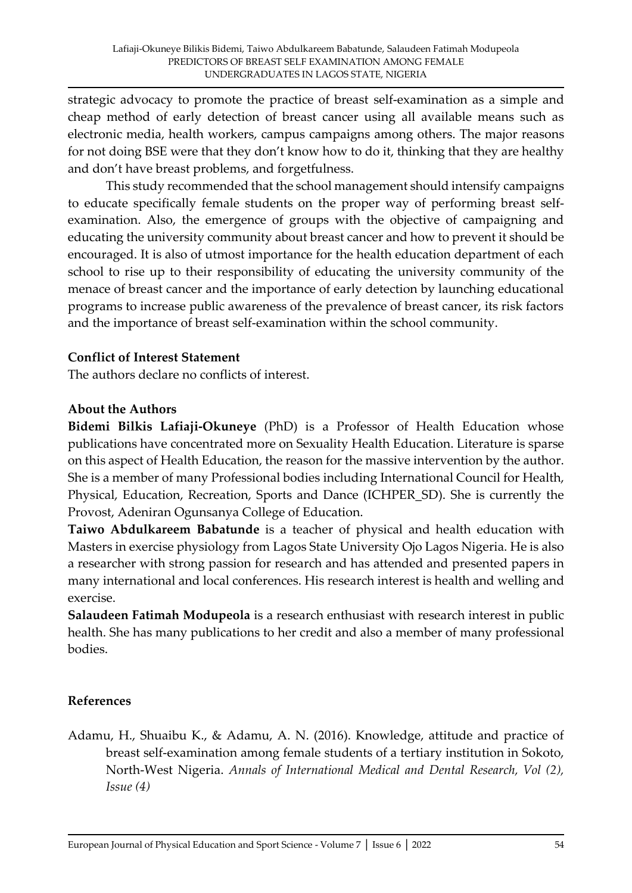strategic advocacy to promote the practice of breast self-examination as a simple and cheap method of early detection of breast cancer using all available means such as electronic media, health workers, campus campaigns among others. The major reasons for not doing BSE were that they don't know how to do it, thinking that they are healthy and don't have breast problems, and forgetfulness.

This study recommended that the school management should intensify campaigns to educate specifically female students on the proper way of performing breast selfexamination. Also, the emergence of groups with the objective of campaigning and educating the university community about breast cancer and how to prevent it should be encouraged. It is also of utmost importance for the health education department of each school to rise up to their responsibility of educating the university community of the menace of breast cancer and the importance of early detection by launching educational programs to increase public awareness of the prevalence of breast cancer, its risk factors and the importance of breast self-examination within the school community.

#### **Conflict of Interest Statement**

The authors declare no conflicts of interest.

#### **About the Authors**

**Bidemi Bilkis Lafiaji-Okuneye** (PhD) is a Professor of Health Education whose publications have concentrated more on Sexuality Health Education. Literature is sparse on this aspect of Health Education, the reason for the massive intervention by the author. She is a member of many Professional bodies including International Council for Health, Physical, Education, Recreation, Sports and Dance (ICHPER\_SD). She is currently the Provost, Adeniran Ogunsanya College of Education.

**Taiwo Abdulkareem Babatunde** is a teacher of physical and health education with Masters in exercise physiology from Lagos State University Ojo Lagos Nigeria. He is also a researcher with strong passion for research and has attended and presented papers in many international and local conferences. His research interest is health and welling and exercise.

**Salaudeen Fatimah Modupeola** is a research enthusiast with research interest in public health. She has many publications to her credit and also a member of many professional bodies.

## **References**

Adamu, H., Shuaibu K., & Adamu, A. N. (2016). Knowledge, attitude and practice of breast self-examination among female students of a tertiary institution in Sokoto, North-West Nigeria. *Annals of International Medical and Dental Research, Vol (2), Issue (4)*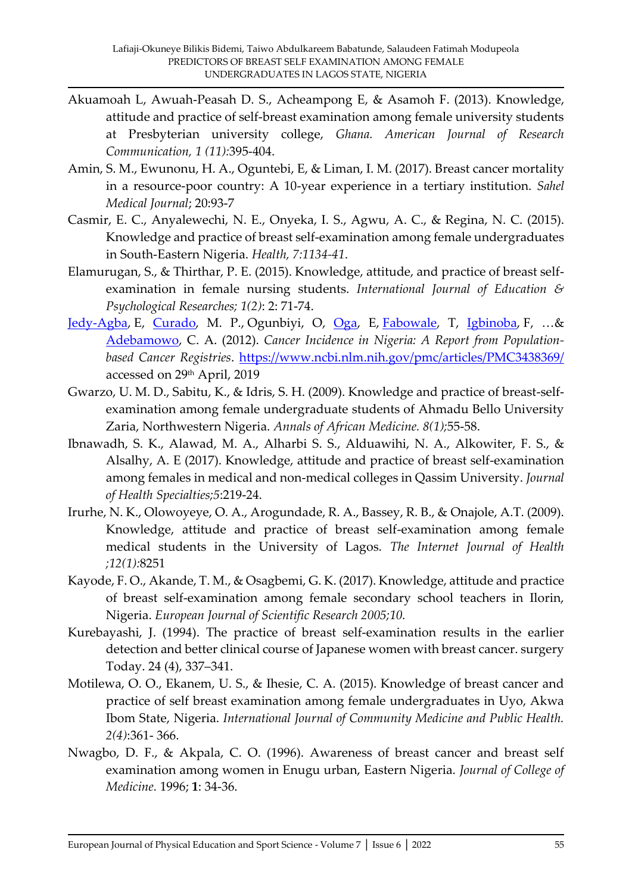- Akuamoah L, Awuah-Peasah D. S., Acheampong E, & Asamoh F. (2013). Knowledge, attitude and practice of self-breast examination among female university students at Presbyterian university college, *Ghana. American Journal of Research Communication, 1 (11):*395-404.
- Amin, S. M., Ewunonu, H. A., Oguntebi, E, & Liman, I. M. (2017). Breast cancer mortality in a resource-poor country: A 10-year experience in a tertiary institution. *Sahel Medical Journal*; 20:93-7
- Casmir, E. C., Anyalewechi, N. E., Onyeka, I. S., Agwu, A. C., & Regina, N. C. (2015). Knowledge and practice of breast self-examination among female undergraduates in South-Eastern Nigeria. *Health, 7:1134-41*.
- Elamurugan, S., & Thirthar, P. E. (2015). Knowledge, attitude, and practice of breast selfexamination in female nursing students. *International Journal of Education & Psychological Researches; 1(2)*: 2: 71-74.
- [Jedy-Agba,](https://www.ncbi.nlm.nih.gov/pubmed/?term=Jedy-Agba%20E%5BAuthor%5D&cauthor=true&cauthor_uid=22621842) E, [Curado,](https://www.ncbi.nlm.nih.gov/pubmed/?term=Curado%20MP%5BAuthor%5D&cauthor=true&cauthor_uid=22621842) M. P., Ogunbiyi, O, [Oga,](https://www.ncbi.nlm.nih.gov/pubmed/?term=Oga%20E%5BAuthor%5D&cauthor=true&cauthor_uid=22621842) E, [Fabowale,](https://www.ncbi.nlm.nih.gov/pubmed/?term=Fabowale%20T%5BAuthor%5D&cauthor=true&cauthor_uid=22621842) T, [Igbinoba,](https://www.ncbi.nlm.nih.gov/pubmed/?term=Igbinoba%20F%5BAuthor%5D&cauthor=true&cauthor_uid=22621842) F, …& [Adebamowo,](https://www.ncbi.nlm.nih.gov/pubmed/?term=Adebamowo%20CA%5BAuthor%5D&cauthor=true&cauthor_uid=22621842) C. A. (2012). *Cancer Incidence in Nigeria: A Report from Populationbased Cancer Registries*.<https://www.ncbi.nlm.nih.gov/pmc/articles/PMC3438369/> accessed on 29th April, 2019
- Gwarzo, U. M. D., Sabitu, K., & Idris, S. H. (2009). Knowledge and practice of breast-selfexamination among female undergraduate students of Ahmadu Bello University Zaria, Northwestern Nigeria. *Annals of African Medicine. 8(1);*55-58.
- Ibnawadh, S. K., Alawad, M. A., Alharbi S. S., Alduawihi, N. A., Alkowiter, F. S., & Alsalhy, A. E (2017). Knowledge, attitude and practice of breast self-examination among females in medical and non-medical colleges in Qassim University. *Journal of Health Specialties;5*:219-24.
- Irurhe, N. K., Olowoyeye, O. A., Arogundade, R. A., Bassey, R. B., & Onajole, A.T. (2009). Knowledge, attitude and practice of breast self-examination among female medical students in the University of Lagos. *The Internet Journal of Health ;12(1):*8251
- Kayode, F. O., Akande, T. M., & Osagbemi, G. K. (2017). Knowledge, attitude and practice of breast self-examination among female secondary school teachers in Ilorin, Nigeria. *European Journal of Scientific Research 2005;10.*
- Kurebayashi, J. (1994). The practice of breast self-examination results in the earlier detection and better clinical course of Japanese women with breast cancer. surgery Today. 24 (4), 337–341.
- Motilewa, O. O., Ekanem, U. S., & Ihesie, C. A. (2015). Knowledge of breast cancer and practice of self breast examination among female undergraduates in Uyo, Akwa Ibom State, Nigeria. *International Journal of Community Medicine and Public Health. 2(4)*:361- 366.
- Nwagbo, D. F., & Akpala, C. O. (1996). Awareness of breast cancer and breast self examination among women in Enugu urban, Eastern Nigeria. *Journal of College of Medicine.* 1996; **1**: 34-36.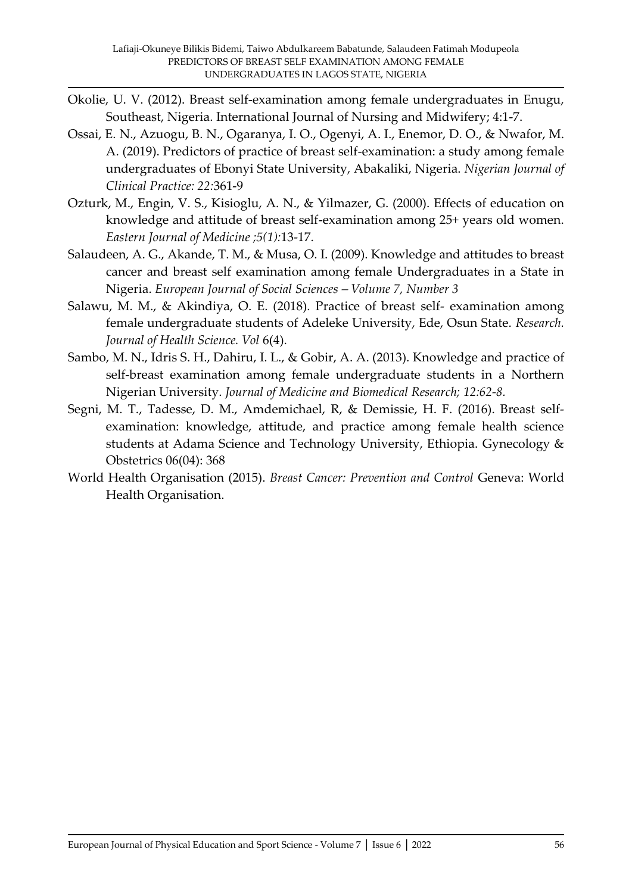- Okolie, U. V. (2012). Breast self-examination among female undergraduates in Enugu, Southeast, Nigeria. International Journal of Nursing and Midwifery; 4:1-7.
- Ossai, E. N., Azuogu, B. N., Ogaranya, I. O., Ogenyi, A. I., Enemor, D. O., & Nwafor, M. A. (2019). Predictors of practice of breast self-examination: a study among female undergraduates of Ebonyi State University, Abakaliki, Nigeria. *Nigerian Journal of Clinical Practice: 22:*361-9
- Ozturk, M., Engin, V. S., Kisioglu, A. N., & Yilmazer, G. (2000). Effects of education on knowledge and attitude of breast self-examination among 25+ years old women. *Eastern Journal of Medicine ;5(1):*13-17.
- Salaudeen, A. G., Akande, T. M., & Musa, O. I. (2009). Knowledge and attitudes to breast cancer and breast self examination among female Undergraduates in a State in Nigeria. *European Journal of Social Sciences – Volume 7, Number 3*
- Salawu, M. M., & Akindiya, O. E. (2018). Practice of breast self- examination among female undergraduate students of Adeleke University, Ede, Osun State. *Research. Journal of Health Science. Vol* 6(4).
- Sambo, M. N., Idris S. H., Dahiru, I. L., & Gobir, A. A. (2013). Knowledge and practice of self-breast examination among female undergraduate students in a Northern Nigerian University. *Journal of Medicine and Biomedical Research; 12:62-8.*
- Segni, M. T., Tadesse, D. M., Amdemichael, R, & Demissie, H. F. (2016). Breast selfexamination: knowledge, attitude, and practice among female health science students at Adama Science and Technology University, Ethiopia. Gynecology & Obstetrics 06(04): 368
- World Health Organisation (2015). *Breast Cancer: Prevention and Control* Geneva: World Health Organisation.